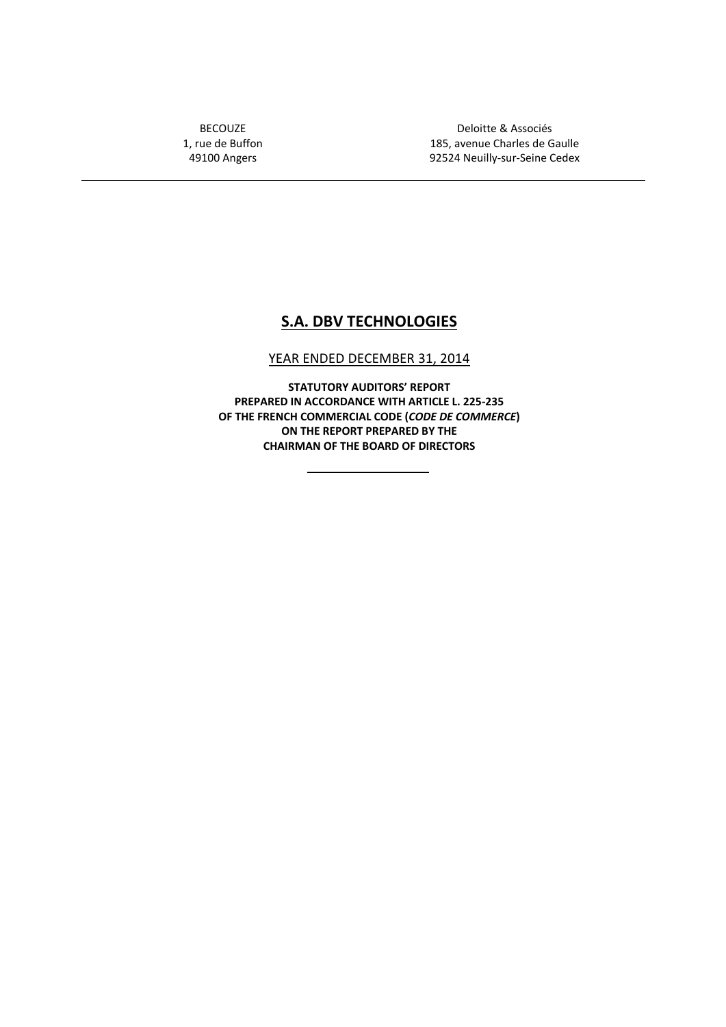BECOUZE 1, rue de Buffon 49100 Angers

Deloitte & Associés 185, avenue Charles de Gaulle 92524 Neuilly-sur-Seine Cedex

## **S.A. DBV TECHNOLOGIES**

## YEAR ENDED DECEMBER 31, 2014

**STATUTORY AUDITORS' REPORT PREPARED IN ACCORDANCE WITH ARTICLE L. 225-235 OF THE FRENCH COMMERCIAL CODE (***CODE DE COMMERCE***) ON THE REPORT PREPARED BY THE CHAIRMAN OF THE BOARD OF DIRECTORS**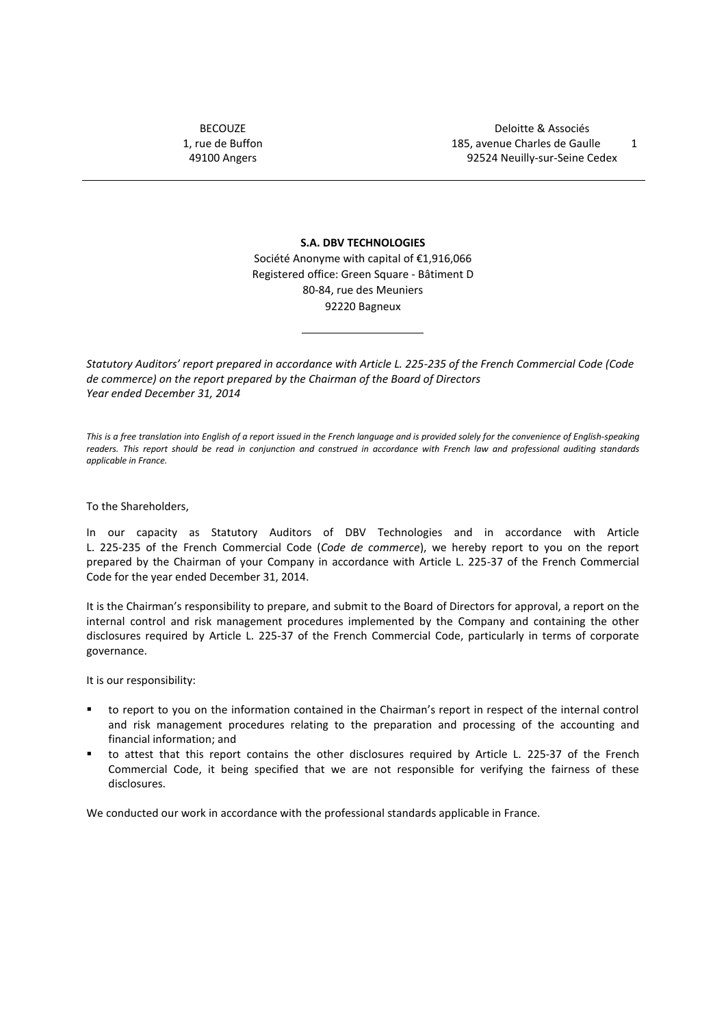BECOUZE 1, rue de Buffon 49100 Angers

**S.A. DBV TECHNOLOGIES** Société Anonyme with capital of €1,916,066 Registered office: Green Square - Bâtiment D 80-84, rue des Meuniers 92220 Bagneux

*Statutory Auditors' report prepared in accordance with Article L. 225-235 of the French Commercial Code (Code de commerce) on the report prepared by the Chairman of the Board of Directors Year ended December 31, 2014*

*This is a free translation into English of a report issued in the French language and is provided solely for the convenience of English-speaking readers. This report should be read in conjunction and construed in accordance with French law and professional auditing standards applicable in France.*

To the Shareholders,

In our capacity as Statutory Auditors of DBV Technologies and in accordance with Article L. 225-235 of the French Commercial Code (*Code de commerce*), we hereby report to you on the report prepared by the Chairman of your Company in accordance with Article L. 225-37 of the French Commercial Code for the year ended December 31, 2014.

It is the Chairman's responsibility to prepare, and submit to the Board of Directors for approval, a report on the internal control and risk management procedures implemented by the Company and containing the other disclosures required by Article L. 225-37 of the French Commercial Code, particularly in terms of corporate governance.

It is our responsibility:

- to report to you on the information contained in the Chairman's report in respect of the internal control and risk management procedures relating to the preparation and processing of the accounting and financial information; and
- to attest that this report contains the other disclosures required by Article L. 225-37 of the French Commercial Code, it being specified that we are not responsible for verifying the fairness of these disclosures.

We conducted our work in accordance with the professional standards applicable in France.